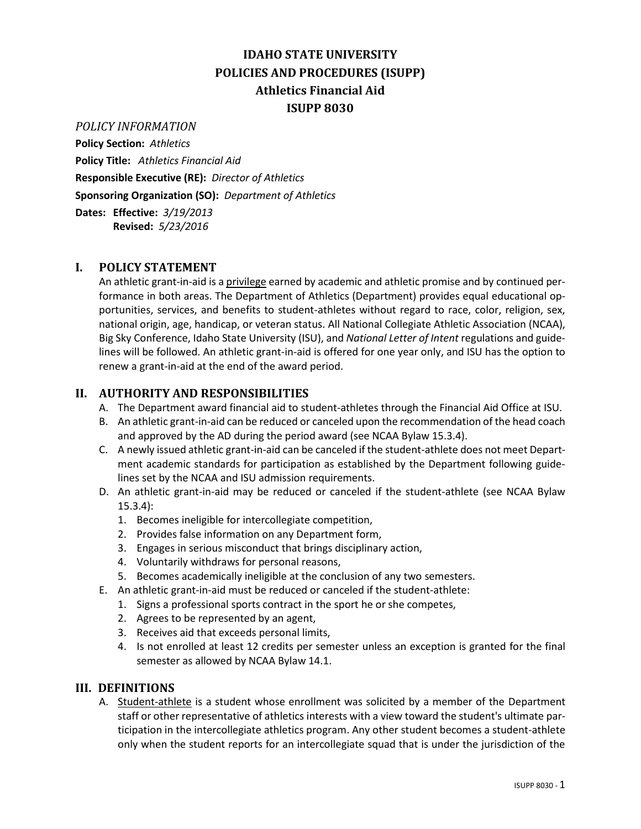# **IDAHO STATE UNIVERSITY POLICIES AND PROCEDURES (ISUPP) Athletics Financial Aid ISUPP 8030**

#### *POLICY INFORMATION*

**Policy Section:** *Athletics* **Policy Title:** *Athletics Financial Aid* **Responsible Executive (RE):** *Director of Athletics* **Sponsoring Organization (SO):** *Department of Athletics* **Dates: Effective:** *3/19/2013*

**Revised:** *5/23/2016*

### **I. POLICY STATEMENT**

An athletic grant-in-aid is a privilege earned by academic and athletic promise and by continued performance in both areas. The Department of Athletics (Department) provides equal educational opportunities, services, and benefits to student-athletes without regard to race, color, religion, sex, national origin, age, handicap, or veteran status. All National Collegiate Athletic Association (NCAA), Big Sky Conference, Idaho State University (ISU), and *National Letter of Intent* regulations and guidelines will be followed. An athletic grant-in-aid is offered for one year only, and ISU has the option to renew a grant-in-aid at the end of the award period.

### **II. AUTHORITY AND RESPONSIBILITIES**

- A. The Department award financial aid to student-athletes through the Financial Aid Office at ISU.
- B. An athletic grant-in-aid can be reduced or canceled upon the recommendation of the head coach and approved by the AD during the period award (see NCAA Bylaw 15.3.4).
- C. A newly issued athletic grant-in-aid can be canceled if the student-athlete does not meet Department academic standards for participation as established by the Department following guidelines set by the NCAA and ISU admission requirements.
- D. An athletic grant-in-aid may be reduced or canceled if the student-athlete (see NCAA Bylaw 15.3.4):
	- 1. Becomes ineligible for intercollegiate competition,
	- 2. Provides false information on any Department form,
	- 3. Engages in serious misconduct that brings disciplinary action,
	- 4. Voluntarily withdraws for personal reasons,
	- 5. Becomes academically ineligible at the conclusion of any two semesters.
- E. An athletic grant-in-aid must be reduced or canceled if the student-athlete:
	- 1. Signs a professional sports contract in the sport he or she competes,
	- 2. Agrees to be represented by an agent,
	- 3. Receives aid that exceeds personal limits,
	- 4. Is not enrolled at least 12 credits per semester unless an exception is granted for the final semester as allowed by NCAA Bylaw 14.1.

#### **III. DEFINITIONS**

A. **Student-athlete** is a student whose enrollment was solicited by a member of the Department staff or other representative of athletics interests with a view toward the student's ultimate participation in the intercollegiate athletics program. Any other student becomes a student-athlete only when the student reports for an intercollegiate squad that is under the jurisdiction of the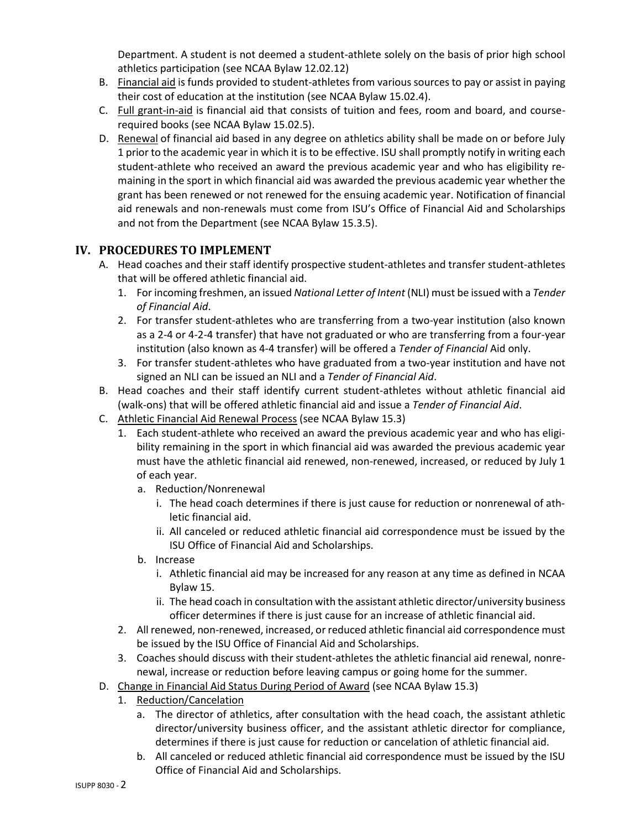Department. A student is not deemed a student-athlete solely on the basis of prior high school athletics participation (see NCAA Bylaw 12.02.12)

- B. Financial aid is funds provided to student-athletes from various sources to pay or assist in paying their cost of education at the institution (see NCAA Bylaw 15.02.4).
- C. Full grant-in-aid is financial aid that consists of tuition and fees, room and board, and courserequired books (see NCAA Bylaw 15.02.5).
- D. Renewal of financial aid based in any degree on athletics ability shall be made on or before July 1 prior to the academic year in which it is to be effective. ISU shall promptly notify in writing each student-athlete who received an award the previous academic year and who has eligibility remaining in the sport in which financial aid was awarded the previous academic year whether the grant has been renewed or not renewed for the ensuing academic year. Notification of financial aid renewals and non-renewals must come from ISU's Office of Financial Aid and Scholarships and not from the Department (see NCAA Bylaw 15.3.5).

## **IV. PROCEDURES TO IMPLEMENT**

- A. Head coaches and their staff identify prospective student-athletes and transfer student-athletes that will be offered athletic financial aid.
	- 1. For incoming freshmen, an issued *National Letter of Intent* (NLI) must be issued with a *Tender of Financial Aid*.
	- 2. For transfer student-athletes who are transferring from a two-year institution (also known as a 2-4 or 4-2-4 transfer) that have not graduated or who are transferring from a four-year institution (also known as 4-4 transfer) will be offered a *Tender of Financial* Aid only.
	- 3. For transfer student-athletes who have graduated from a two-year institution and have not signed an NLI can be issued an NLI and a *Tender of Financial Aid*.
- B. Head coaches and their staff identify current student-athletes without athletic financial aid (walk-ons) that will be offered athletic financial aid and issue a *Tender of Financial Aid*.
- C. Athletic Financial Aid Renewal Process (see NCAA Bylaw 15.3)
	- 1. Each student-athlete who received an award the previous academic year and who has eligibility remaining in the sport in which financial aid was awarded the previous academic year must have the athletic financial aid renewed, non-renewed, increased, or reduced by July 1 of each year.
		- a. Reduction/Nonrenewal
			- i. The head coach determines if there is just cause for reduction or nonrenewal of athletic financial aid.
			- ii. All canceled or reduced athletic financial aid correspondence must be issued by the ISU Office of Financial Aid and Scholarships.
		- b. Increase
			- i. Athletic financial aid may be increased for any reason at any time as defined in NCAA Bylaw 15.
			- ii. The head coach in consultation with the assistant athletic director/university business officer determines if there is just cause for an increase of athletic financial aid.
	- 2. All renewed, non-renewed, increased, or reduced athletic financial aid correspondence must be issued by the ISU Office of Financial Aid and Scholarships.
	- 3. Coaches should discuss with their student-athletes the athletic financial aid renewal, nonrenewal, increase or reduction before leaving campus or going home for the summer.
- D. Change in Financial Aid Status During Period of Award (see NCAA Bylaw 15.3)
	- 1. Reduction/Cancelation
		- a. The director of athletics, after consultation with the head coach, the assistant athletic director/university business officer, and the assistant athletic director for compliance, determines if there is just cause for reduction or cancelation of athletic financial aid.
		- b. All canceled or reduced athletic financial aid correspondence must be issued by the ISU Office of Financial Aid and Scholarships.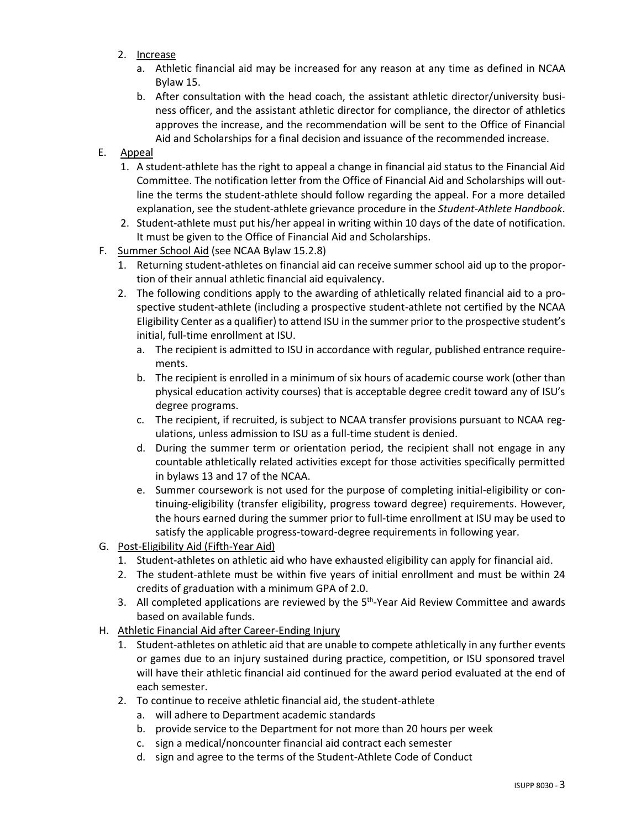- 2. Increase
	- a. Athletic financial aid may be increased for any reason at any time as defined in NCAA Bylaw 15.
	- b. After consultation with the head coach, the assistant athletic director/university business officer, and the assistant athletic director for compliance, the director of athletics approves the increase, and the recommendation will be sent to the Office of Financial Aid and Scholarships for a final decision and issuance of the recommended increase.
- E. Appeal
	- 1. A student-athlete has the right to appeal a change in financial aid status to the Financial Aid Committee. The notification letter from the Office of Financial Aid and Scholarships will outline the terms the student-athlete should follow regarding the appeal. For a more detailed explanation, see the student-athlete grievance procedure in the *Student-Athlete Handbook*.
	- 2. Student-athlete must put his/her appeal in writing within 10 days of the date of notification. It must be given to the Office of Financial Aid and Scholarships.
- F. Summer School Aid (see NCAA Bylaw 15.2.8)
	- 1. Returning student-athletes on financial aid can receive summer school aid up to the proportion of their annual athletic financial aid equivalency.
	- 2. The following conditions apply to the awarding of athletically related financial aid to a prospective student-athlete (including a prospective student-athlete not certified by the NCAA Eligibility Center as a qualifier) to attend ISU in the summer prior to the prospective student's initial, full-time enrollment at ISU.
		- a. The recipient is admitted to ISU in accordance with regular, published entrance requirements.
		- b. The recipient is enrolled in a minimum of six hours of academic course work (other than physical education activity courses) that is acceptable degree credit toward any of ISU's degree programs.
		- c. The recipient, if recruited, is subject to NCAA transfer provisions pursuant to NCAA regulations, unless admission to ISU as a full-time student is denied.
		- d. During the summer term or orientation period, the recipient shall not engage in any countable athletically related activities except for those activities specifically permitted in bylaws 13 and 17 of the NCAA.
		- e. Summer coursework is not used for the purpose of completing initial-eligibility or continuing-eligibility (transfer eligibility, progress toward degree) requirements. However, the hours earned during the summer prior to full-time enrollment at ISU may be used to satisfy the applicable progress-toward-degree requirements in following year.
- G. Post-Eligibility Aid (Fifth-Year Aid)
	- 1. Student-athletes on athletic aid who have exhausted eligibility can apply for financial aid.
	- 2. The student-athlete must be within five years of initial enrollment and must be within 24 credits of graduation with a minimum GPA of 2.0.
	- 3. All completed applications are reviewed by the  $5<sup>th</sup>$ -Year Aid Review Committee and awards based on available funds.
- H. Athletic Financial Aid after Career-Ending Injury
	- 1. Student-athletes on athletic aid that are unable to compete athletically in any further events or games due to an injury sustained during practice, competition, or ISU sponsored travel will have their athletic financial aid continued for the award period evaluated at the end of each semester.
	- 2. To continue to receive athletic financial aid, the student-athlete
		- a. will adhere to Department academic standards
		- b. provide service to the Department for not more than 20 hours per week
		- c. sign a medical/noncounter financial aid contract each semester
		- d. sign and agree to the terms of the Student-Athlete Code of Conduct